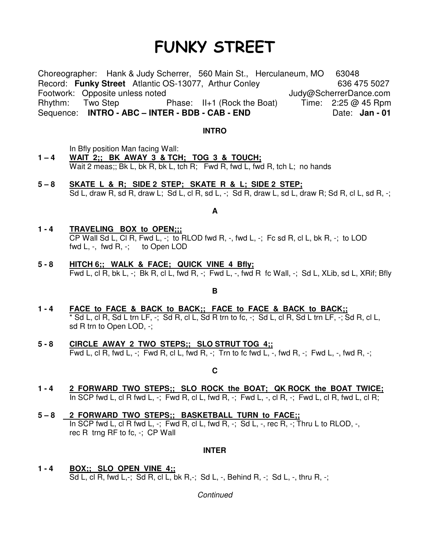# FUNKY STREET

Choreographer: Hank & Judy Scherrer, 560 Main St., Herculaneum, MO 63048 Record: **Funky Street** Atlantic OS-13077, Arthur Conley 636 475 5027 Footwork: Opposite unless noted **Judy** Dudy@ScherrerDance.com Rhythm: Two Step **Phase: II+1 (Rock the Boat)** Time: 2:25 @ 45 Rpm Sequence: **INTRO - ABC – INTER - BDB - CAB - END** Date: Jan - 01

#### **INTRO**

In Bfly position Man facing Wall:

- **1 4 WAIT 2;; BK AWAY 3 & TCH; TOG 3 & TOUCH;** Wait 2 meas;; Bk L, bk R, bk L, tch R; Fwd R, fwd L, fwd R, tch L; no hands
- **5 8 SKATE L & R; SIDE 2 STEP; SKATE R & L; SIDE 2 STEP;**  Sd L, draw R, sd R, draw L; Sd L, cl R, sd L,  $-$ ; Sd R, draw L, sd L, draw R; Sd R, cl L, sd R,  $-$ ;

### **A**

- **1 4 TRAVELING BOX to OPEN;;;** CP Wall Sd L, Cl R, Fwd L,  $-$ ; to RLOD fwd R,  $-$ , fwd L,  $-$ ; Fc sd R, cl L, bk R,  $-$ ; to LOD fwd L, -, fwd R, -; to Open LOD
- **5 8 HITCH 6;; WALK & FACE; QUICK VINE 4 Bfly;** Fwd L, cl R, bk L, -; Bk R, cl L, fwd R, -; Fwd L, -, fwd R fc Wall, -; Sd L, XLib, sd L, XRif; Bfly

#### **B**

- **1 4 FACE to FACE & BACK to BACK;; FACE to FACE & BACK to BACK;;** \* Sd L, cl R, Sd L trn LF, -; Sd R, cl L, Sd R trn to fc, -; Sd L, cl R, Sd L trn LF, -; Sd R, cl L, sd R trn to Open LOD, -;
- **5 8 CIRCLE AWAY 2 TWO STEPS;; SLO STRUT TOG 4;;** Fwd L, cl R, fwd L,  $-$ ; Fwd R, cl L, fwd R,  $-$ ; Trn to fc fwd L,  $-$ , fwd R,  $-$ ; Fwd L,  $-$ , fwd R,  $-$ ;

#### **C**

- **1 4 2 FORWARD TWO STEPS;; SLO ROCK the BOAT; QK ROCK the BOAT TWICE;** In SCP fwd L, cl R fwd L, -; Fwd R, cl L, fwd R, -; Fwd L, -, cl R, -; Fwd L, cl R, fwd L, cl R;
- **5 8 2 FORWARD TWO STEPS;; BASKETBALL TURN to FACE;;** In SCP fwd L, cl R fwd L,  $-$ ; Fwd R, cl L, fwd R,  $-$ ; Sd L,  $-$ , rec R,  $-$ ; Thru L to RLOD,  $-$ , rec R trng RF to fc, -; CP Wall

#### **INTER**

**1 - 4 BOX;; SLO OPEN VINE 4;;** Sd L, cl R, fwd L,-; Sd R, cl L, bk R,-; Sd L, -, Behind R, -; Sd L, -, thru R, -;

**Continued**